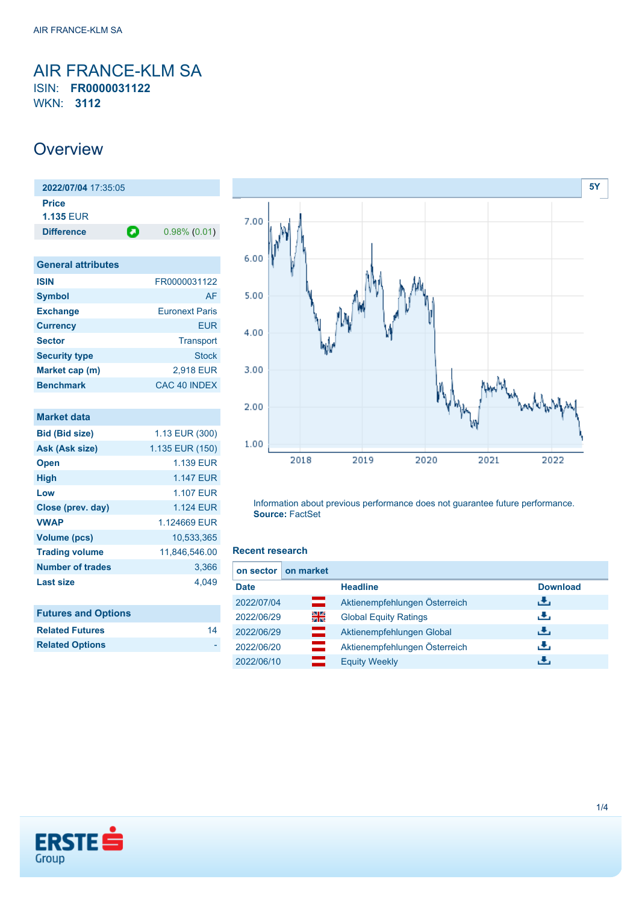## <span id="page-0-0"></span>AIR FRANCE-KLM SA ISIN: **FR0000031122** WKN: **3112**

## **Overview**

**2022/07/04** 17:35:05 **Price 1.135** EUR **Difference 0.98% (0.01)** 

| <b>General attributes</b> |                       |
|---------------------------|-----------------------|
| <b>ISIN</b>               | FR0000031122          |
| <b>Symbol</b>             | AF                    |
| <b>Exchange</b>           | <b>Euronext Paris</b> |
| <b>Currency</b>           | <b>EUR</b>            |
| <b>Sector</b>             | <b>Transport</b>      |
| <b>Security type</b>      | <b>Stock</b>          |
| Market cap (m)            | 2,918 EUR             |
| <b>Benchmark</b>          | CAC 40 INDEX          |

| <b>Market data</b>         |                  |
|----------------------------|------------------|
| <b>Bid (Bid size)</b>      | 1.13 EUR (300)   |
| Ask (Ask size)             | 1.135 EUR (150)  |
| <b>Open</b>                | <b>1.139 EUR</b> |
| <b>High</b>                | <b>1.147 FUR</b> |
| Low                        | <b>1.107 EUR</b> |
| Close (prev. day)          | <b>1.124 EUR</b> |
| <b>VWAP</b>                | 1.124669 EUR     |
| <b>Volume (pcs)</b>        | 10,533,365       |
| <b>Trading volume</b>      | 11,846,546.00    |
| <b>Number of trades</b>    | 3,366            |
| Last size                  | 4,049            |
|                            |                  |
| <b>Futures and Options</b> |                  |
| <b>Related Futures</b>     | 14               |



Information about previous performance does not guarantee future performance. **Source:** FactSet

#### **Recent research**

| on sector   | on market |                               |                 |
|-------------|-----------|-------------------------------|-----------------|
| <b>Date</b> |           | <b>Headline</b>               | <b>Download</b> |
| 2022/07/04  | ▭         | Aktienempfehlungen Österreich | æ,              |
| 2022/06/29  | 읡         | <b>Global Equity Ratings</b>  | J.              |
| 2022/06/29  | ═         | Aktienempfehlungen Global     | J.              |
| 2022/06/20  |           | Aktienempfehlungen Österreich | J.              |
| 2022/06/10  |           | <b>Equity Weekly</b>          | æ,              |



**Related Options**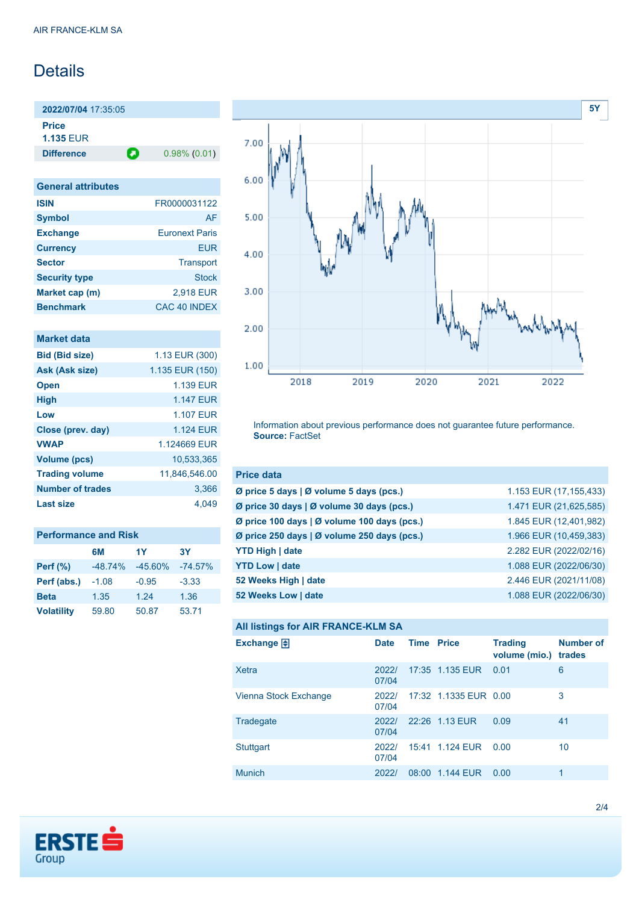# Details

**2022/07/04** 17:35:05 **Price**

**1.135** EUR

**Difference 0.98% (0.01)** 

| <b>General attributes</b> |                       |
|---------------------------|-----------------------|
| <b>ISIN</b>               | FR0000031122          |
| <b>Symbol</b>             | AF                    |
| <b>Exchange</b>           | <b>Euronext Paris</b> |
| <b>Currency</b>           | <b>EUR</b>            |
| <b>Sector</b>             | Transport             |
| <b>Security type</b>      | Stock                 |
| Market cap (m)            | 2,918 EUR             |
| <b>Benchmark</b>          | CAC 40 INDEX          |

| <b>Market data</b>      |                 |
|-------------------------|-----------------|
| <b>Bid (Bid size)</b>   | 1.13 EUR (300)  |
| Ask (Ask size)          | 1.135 EUR (150) |
| <b>Open</b>             | 1.139 FUR       |
| <b>High</b>             | 1.147 FUR       |
| Low                     | 1.107 FUR       |
| Close (prev. day)       | 1.124 FUR       |
| <b>VWAP</b>             | 1.124669 EUR    |
| <b>Volume (pcs)</b>     | 10,533,365      |
| <b>Trading volume</b>   | 11,846,546.00   |
| <b>Number of trades</b> | 3,366           |
| Last size               | 4.049           |

| <b>Performance and Risk</b> |           |           |           |  |
|-----------------------------|-----------|-----------|-----------|--|
|                             | 6M        | 1Y        | 3Y        |  |
| <b>Perf (%)</b>             | $-48.74%$ | $-45.60%$ | $-74.57%$ |  |
| Perf (abs.)                 | $-1.08$   | $-0.95$   | $-3.33$   |  |
| <b>Beta</b>                 | 1.35      | 1.24      | 1.36      |  |
| <b>Volatility</b>           | 59.80     | 50.87     | 53.71     |  |



Information about previous performance does not guarantee future performance. **Source:** FactSet

| <b>Price data</b>                                         |                        |
|-----------------------------------------------------------|------------------------|
| $\emptyset$ price 5 days $\emptyset$ volume 5 days (pcs.) | 1.153 EUR (17,155,433) |
| Ø price 30 days   Ø volume 30 days (pcs.)                 | 1.471 EUR (21,625,585) |
| Ø price 100 days   Ø volume 100 days (pcs.)               | 1.845 EUR (12,401,982) |
| Ø price 250 days   Ø volume 250 days (pcs.)               | 1.966 EUR (10,459,383) |
| <b>YTD High   date</b>                                    | 2.282 EUR (2022/02/16) |
| <b>YTD Low   date</b>                                     | 1.088 EUR (2022/06/30) |
| 52 Weeks High   date                                      | 2.446 EUR (2021/11/08) |
| 52 Weeks Low   date                                       | 1.088 EUR (2022/06/30) |

#### **All listings for AIR FRANCE-KLM SA**

| ⊷                     |                |                   |                       |                                 |                            |
|-----------------------|----------------|-------------------|-----------------------|---------------------------------|----------------------------|
| Exchange $\Box$       | <b>Date</b>    | <b>Time Price</b> |                       | <b>Trading</b><br>volume (mio.) | <b>Number of</b><br>trades |
| Xetra                 | 2022/<br>07/04 |                   | 17:35 1.135 EUR 0.01  |                                 | 6                          |
| Vienna Stock Exchange | 2022/<br>07/04 |                   | 17:32 1.1335 EUR 0.00 |                                 | 3                          |
| Tradegate             | 2022/<br>07/04 |                   | 22:26 1.13 EUR        | 0.09                            | 41                         |
| Stuttgart             | 2022/<br>07/04 |                   | 15:41 1.124 EUR       | 0.00                            | 10                         |
| <b>Munich</b>         | 2022/          | 08:00             | 1.144 EUR             | 0.00                            | 1                          |

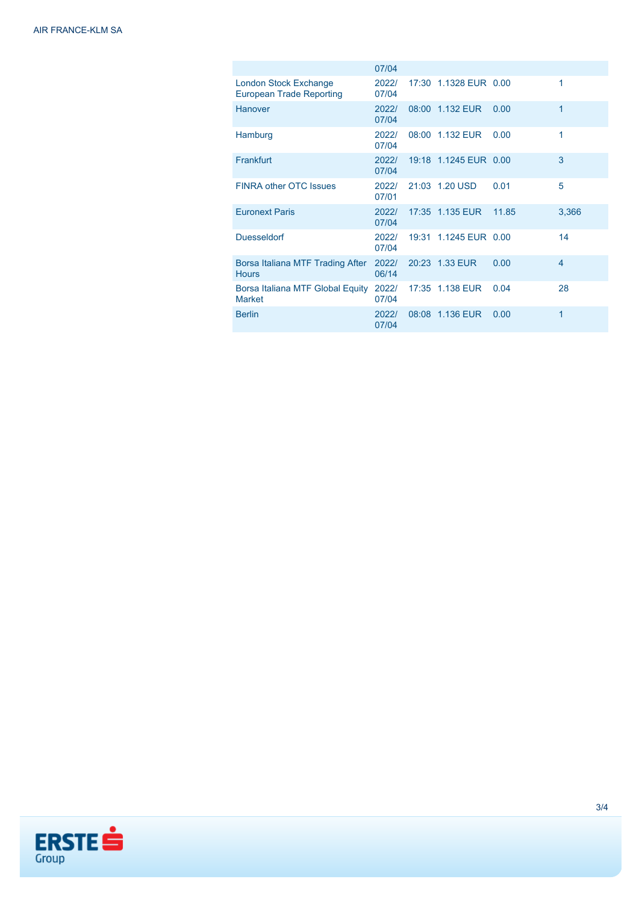|                                                          | 07/04          |                       |       |                |
|----------------------------------------------------------|----------------|-----------------------|-------|----------------|
| London Stock Exchange<br><b>European Trade Reporting</b> | 2022/<br>07/04 | 17:30 1.1328 EUR 0.00 |       | 1              |
| <b>Hanover</b>                                           | 2022/<br>07/04 | 08:00 1.132 EUR       | 0.00  | 1              |
| Hamburg                                                  | 2022/<br>07/04 | 08:00 1.132 EUR       | 0.00  | 1              |
| Frankfurt                                                | 2022/<br>07/04 | 19:18 1.1245 EUR 0.00 |       | 3              |
| <b>FINRA other OTC Issues</b>                            | 2022/<br>07/01 | 21:03 1.20 USD        | 0.01  | 5              |
| <b>Euronext Paris</b>                                    | 2022/<br>07/04 | 17:35 1.135 EUR       | 11.85 | 3,366          |
| <b>Duesseldorf</b>                                       | 2022/<br>07/04 | 19:31 1.1245 EUR 0.00 |       | 14             |
| Borsa Italiana MTF Trading After<br><b>Hours</b>         | 2022/<br>06/14 | 20:23 1.33 EUR        | 0.00  | $\overline{4}$ |
| Borsa Italiana MTF Global Equity<br><b>Market</b>        | 2022/<br>07/04 | 17:35 1.138 EUR       | 0.04  | 28             |
| <b>Berlin</b>                                            | 2022/<br>07/04 | 08:08 1.136 EUR       | 0.00  | 1              |